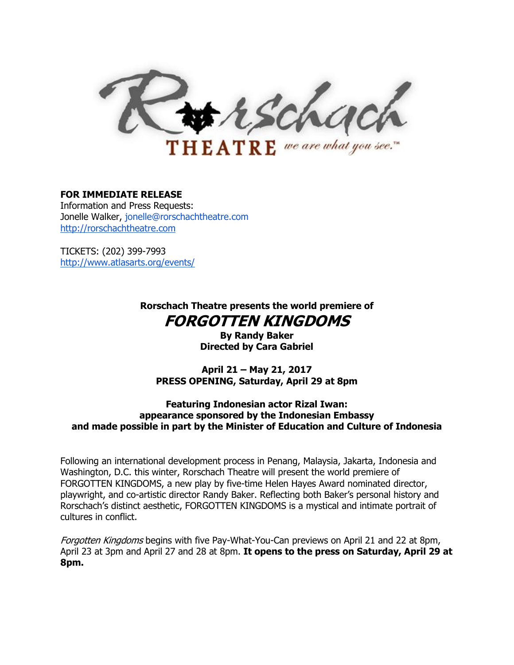trschach  **we are what you see."** 

#### **FOR IMMEDIATE RELEASE**

Information and Press Requests: Jonelle Walker, jonelle@rorschachtheatre.com [http://rorschachtheatre.com](http://rorschachtheatre.com/)

TICKETS: (202) 399-7993 <http://www.atlasarts.org/events/>

> **Rorschach Theatre presents the world premiere of FORGOTTEN KINGDOMS**

> > **By Randy Baker Directed by Cara Gabriel**

**April 21 – May 21, 2017 PRESS OPENING, Saturday, April 29 at 8pm**

**Featuring Indonesian actor Rizal Iwan: appearance sponsored by the Indonesian Embassy and made possible in part by the Minister of Education and Culture of Indonesia**

Following an international development process in Penang, Malaysia, Jakarta, Indonesia and Washington, D.C. this winter, Rorschach Theatre will present the world premiere of FORGOTTEN KINGDOMS, a new play by five-time Helen Hayes Award nominated director, playwright, and co-artistic director Randy Baker. Reflecting both Baker's personal history and Rorschach's distinct aesthetic, FORGOTTEN KINGDOMS is a mystical and intimate portrait of cultures in conflict.

Forgotten Kingdoms begins with five Pay-What-You-Can previews on April 21 and 22 at 8pm, April 23 at 3pm and April 27 and 28 at 8pm. **It opens to the press on Saturday, April 29 at 8pm.**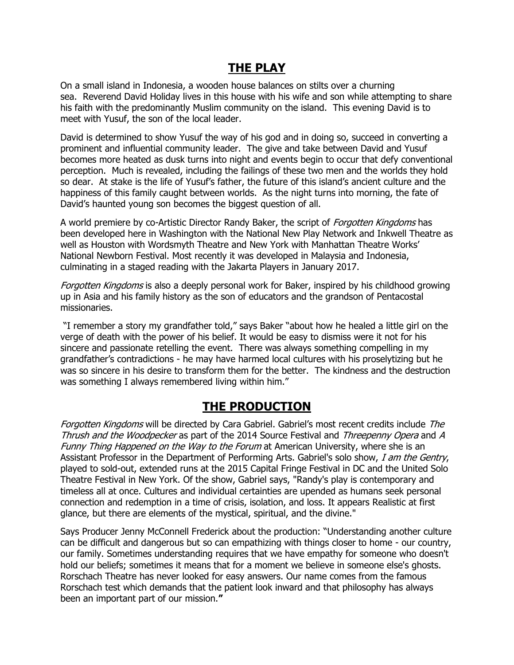## **THE PLAY**

On a small island in Indonesia, a wooden house balances on stilts over a churning sea. Reverend David Holiday lives in this house with his wife and son while attempting to share his faith with the predominantly Muslim community on the island. This evening David is to meet with Yusuf, the son of the local leader.

David is determined to show Yusuf the way of his god and in doing so, succeed in converting a prominent and influential community leader. The give and take between David and Yusuf becomes more heated as dusk turns into night and events begin to occur that defy conventional perception. Much is revealed, including the failings of these two men and the worlds they hold so dear. At stake is the life of Yusuf's father, the future of this island's ancient culture and the happiness of this family caught between worlds. As the night turns into morning, the fate of David's haunted young son becomes the biggest question of all.

A world premiere by co-Artistic Director Randy Baker, the script of *Forgotten Kingdoms* has been developed here in Washington with the National New Play Network and Inkwell Theatre as well as Houston with Wordsmyth Theatre and New York with Manhattan Theatre Works' National Newborn Festival. Most recently it was developed in Malaysia and Indonesia, culminating in a staged reading with the Jakarta Players in January 2017.

Forgotten Kingdoms is also a deeply personal work for Baker, inspired by his childhood growing up in Asia and his family history as the son of educators and the grandson of Pentacostal missionaries.

"I remember a story my grandfather told," says Baker "about how he healed a little girl on the verge of death with the power of his belief. It would be easy to dismiss were it not for his sincere and passionate retelling the event. There was always something compelling in my grandfather's contradictions - he may have harmed local cultures with his proselytizing but he was so sincere in his desire to transform them for the better. The kindness and the destruction was something I always remembered living within him."

### **THE PRODUCTION**

Forgotten Kingdoms will be directed by Cara Gabriel. Gabriel's most recent credits include The Thrush and the Woodpecker as part of the 2014 Source Festival and Threepenny Opera and A Funny Thing Happened on the Way to the Forum at American University, where she is an Assistant Professor in the Department of Performing Arts. Gabriel's solo show, I am the Gentry, played to sold-out, extended runs at the 2015 Capital Fringe Festival in DC and the United Solo Theatre Festival in New York. Of the show, Gabriel says, "Randy's play is contemporary and timeless all at once. Cultures and individual certainties are upended as humans seek personal connection and redemption in a time of crisis, isolation, and loss. It appears Realistic at first glance, but there are elements of the mystical, spiritual, and the divine."

Says Producer Jenny McConnell Frederick about the production: "Understanding another culture can be difficult and dangerous but so can empathizing with things closer to home - our country, our family. Sometimes understanding requires that we have empathy for someone who doesn't hold our beliefs; sometimes it means that for a moment we believe in someone else's ghosts. Rorschach Theatre has never looked for easy answers. Our name comes from the famous Rorschach test which demands that the patient look inward and that philosophy has always been an important part of our mission.**"**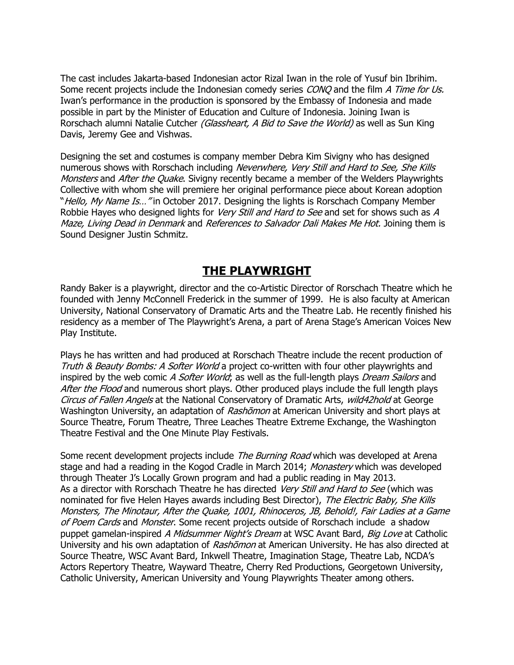The cast includes Jakarta-based Indonesian actor Rizal Iwan in the role of Yusuf bin Ibrihim. Some recent projects include the Indonesian comedy series CONQ and the film A Time for Us. Iwan's performance in the production is sponsored by the Embassy of Indonesia and made possible in part by the Minister of Education and Culture of Indonesia. Joining Iwan is Rorschach alumni Natalie Cutcher *(Glassheart, A Bid to Save the World)* as well as Sun King Davis, Jeremy Gee and Vishwas.

Designing the set and costumes is company member Debra Kim Sivigny who has designed numerous shows with Rorschach including Neverwhere, Very Still and Hard to See, She Kills Monsters and After the Quake. Sivigny recently became a member of the Welders Playwrights Collective with whom she will premiere her original performance piece about Korean adoption "Hello, My Name Is..." in October 2017. Designing the lights is Rorschach Company Member Robbie Hayes who designed lights for Very Still and Hard to See and set for shows such as A Maze, Living Dead in Denmark and References to Salvador Dali Makes Me Hot. Joining them is Sound Designer Justin Schmitz.

#### **THE PLAYWRIGHT**

Randy Baker is a playwright, director and the co-Artistic Director of Rorschach Theatre which he founded with Jenny McConnell Frederick in the summer of 1999. He is also faculty at American University, National Conservatory of Dramatic Arts and the Theatre Lab. He recently finished his residency as a member of The Playwright's Arena, a part of Arena Stage's American Voices New Play Institute.

Plays he has written and had produced at Rorschach Theatre include the recent production of Truth & Beauty Bombs: A Softer World a project co-written with four other playwrights and inspired by the web comic A Softer World; as well as the full-length plays Dream Sailors and After the Flood and numerous short plays. Other produced plays include the full length plays Circus of Fallen Angels at the National Conservatory of Dramatic Arts, wild42hold at George Washington University, an adaptation of Rashomon at American University and short plays at Source Theatre, Forum Theatre, Three Leaches Theatre Extreme Exchange, the Washington Theatre Festival and the One Minute Play Festivals.

Some recent development projects include *The Burning Road* which was developed at Arena stage and had a reading in the Kogod Cradle in March 2014; Monastery which was developed through Theater J's Locally Grown program and had a public reading in May 2013. As a director with Rorschach Theatre he has directed *Very Still and Hard to See* (which was nominated for five Helen Hayes awards including Best Director), The Electric Baby, She Kills Monsters, The Minotaur, After the Quake, 1001, Rhinoceros, JB, Behold!, Fair Ladies at a Game of Poem Cards and Monster. Some recent projects outside of Rorschach include a shadow puppet gamelan-inspired A Midsummer Night's Dream at WSC Avant Bard, Big Love at Catholic University and his own adaptation of Rashomon at American University. He has also directed at Source Theatre, WSC Avant Bard, Inkwell Theatre, Imagination Stage, Theatre Lab, NCDA's Actors Repertory Theatre, Wayward Theatre, Cherry Red Productions, Georgetown University, Catholic University, American University and Young Playwrights Theater among others.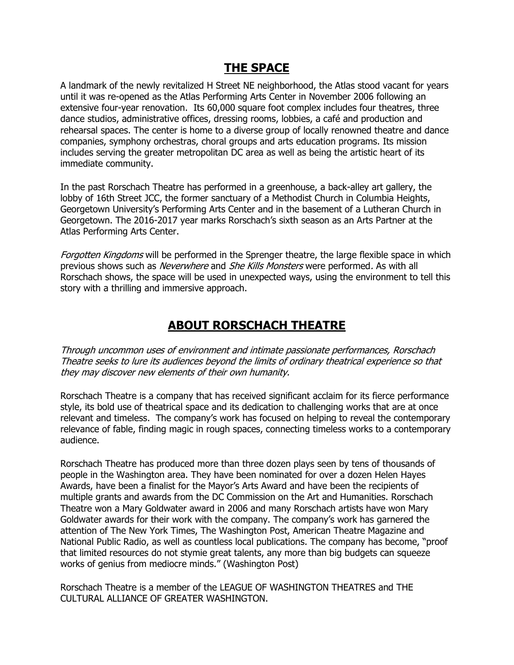### **THE SPACE**

A landmark of the newly revitalized H Street NE neighborhood, the Atlas stood vacant for years until it was re-opened as the Atlas Performing Arts Center in November 2006 following an extensive four-year renovation. Its 60,000 square foot complex includes four theatres, three dance studios, administrative offices, dressing rooms, lobbies, a café and production and rehearsal spaces. The center is home to a diverse group of locally renowned theatre and dance companies, symphony orchestras, choral groups and arts education programs. Its mission includes serving the greater metropolitan DC area as well as being the artistic heart of its immediate community.

In the past Rorschach Theatre has performed in a greenhouse, a back-alley art gallery, the lobby of 16th Street JCC, the former sanctuary of a Methodist Church in Columbia Heights, Georgetown University's Performing Arts Center and in the basement of a Lutheran Church in Georgetown. The 2016-2017 year marks Rorschach's sixth season as an Arts Partner at the Atlas Performing Arts Center.

Forgotten Kingdoms will be performed in the Sprenger theatre, the large flexible space in which previous shows such as *Neverwhere* and *She Kills Monsters* were performed. As with all Rorschach shows, the space will be used in unexpected ways, using the environment to tell this story with a thrilling and immersive approach.

### **ABOUT RORSCHACH THEATRE**

Through uncommon uses of environment and intimate passionate performances, Rorschach Theatre seeks to lure its audiences beyond the limits of ordinary theatrical experience so that they may discover new elements of their own humanity.

Rorschach Theatre is a company that has received significant acclaim for its fierce performance style, its bold use of theatrical space and its dedication to challenging works that are at once relevant and timeless. The company's work has focused on helping to reveal the contemporary relevance of fable, finding magic in rough spaces, connecting timeless works to a contemporary audience.

Rorschach Theatre has produced more than three dozen plays seen by tens of thousands of people in the Washington area. They have been nominated for over a dozen Helen Hayes Awards, have been a finalist for the Mayor's Arts Award and have been the recipients of multiple grants and awards from the DC Commission on the Art and Humanities. Rorschach Theatre won a Mary Goldwater award in 2006 and many Rorschach artists have won Mary Goldwater awards for their work with the company. The company's work has garnered the attention of The New York Times, The Washington Post, American Theatre Magazine and National Public Radio, as well as countless local publications. The company has become, "proof that limited resources do not stymie great talents, any more than big budgets can squeeze works of genius from mediocre minds." (Washington Post)

Rorschach Theatre is a member of the LEAGUE OF WASHINGTON THEATRES and THE CULTURAL ALLIANCE OF GREATER WASHINGTON.